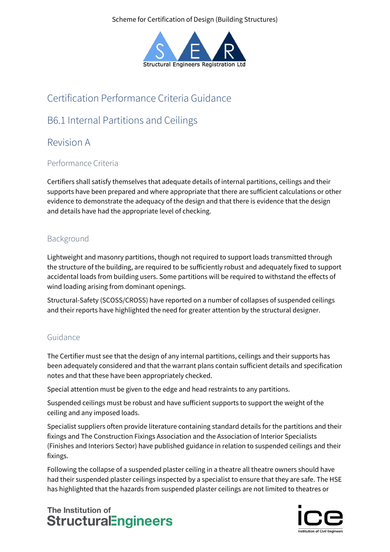Scheme for Certification of Design (Building Structures)



# Certification Performance Criteria Guidance

# B6.1 Internal Partitions and Ceilings

## Revision A

### Performance Criteria

Certifiers shall satisfy themselves that adequate details of internal partitions, ceilings and their supports have been prepared and where appropriate that there are sufficient calculations or other evidence to demonstrate the adequacy of the design and that there is evidence that the design and details have had the appropriate level of checking.

## Background

Lightweight and masonry partitions, though not required to support loads transmitted through the structure of the building, are required to be sufficiently robust and adequately fixed to support accidental loads from building users. Some partitions will be required to withstand the effects of wind loading arising from dominant openings.

Structural-Safety (SCOSS/CROSS) have reported on a number of collapses of suspended ceilings and their reports have highlighted the need for greater attention by the structural designer.

### Guidance

The Certifier must see that the design of any internal partitions, ceilings and their supports has been adequately considered and that the warrant plans contain sufficient details and specification notes and that these have been appropriately checked.

Special attention must be given to the edge and head restraints to any partitions.

Suspended ceilings must be robust and have sufficient supports to support the weight of the ceiling and any imposed loads.

Specialist suppliers often provide literature containing standard details for the partitions and their fixings and The Construction Fixings Association and the Association of Interior Specialists (Finishes and Interiors Sector) have published guidance in relation to suspended ceilings and their fixings.

Following the collapse of a suspended plaster ceiling in a theatre all theatre owners should have had their suspended plaster ceilings inspected by a specialist to ensure that they are safe. The HSE has highlighted that the hazards from suspended plaster ceilings are not limited to theatres or

## The Institution of **StructuralEngineers**